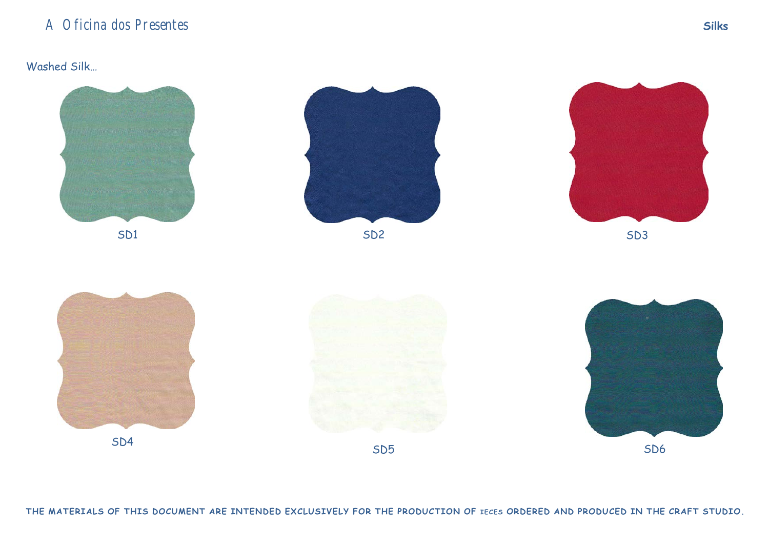#### Washed Silk…

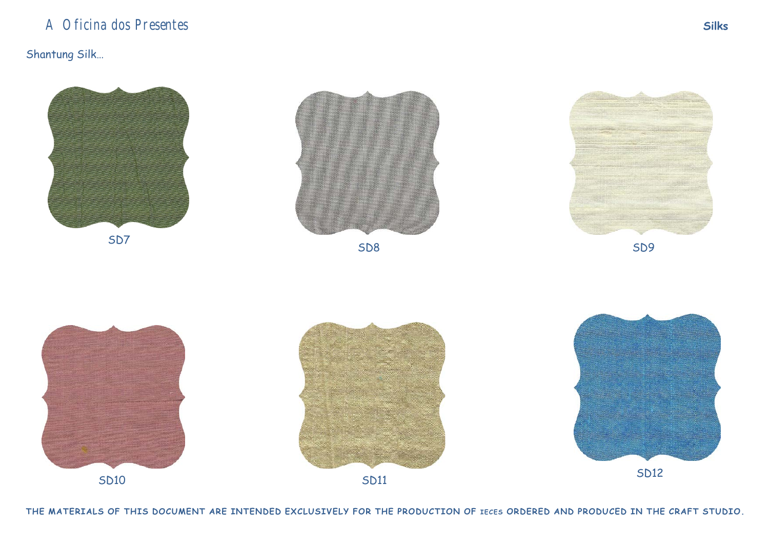## Shantung Silk…



THE MATERIALS OF THIS DOCUMENT ARE INTENDED EXCLUSIVELY FOR THE PRODUCTION OF IECES ORDERED AND PRODUCED IN THE CRAFT STUDIO.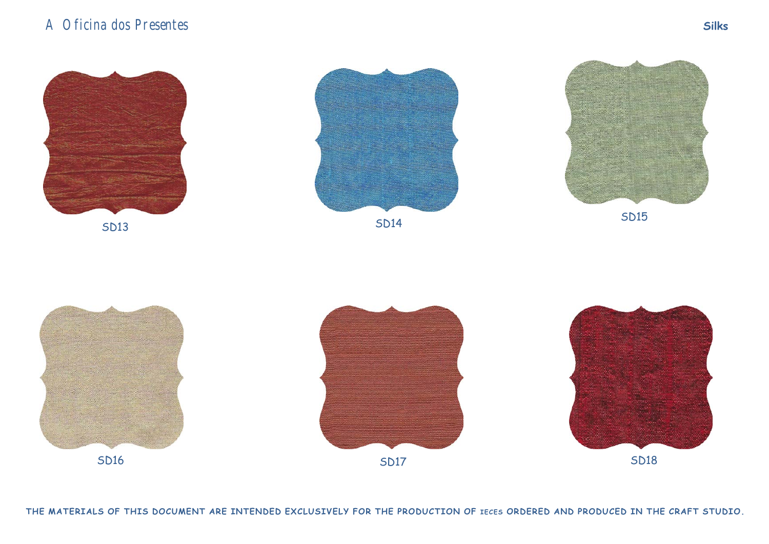

THE MATERIALS OF THIS DOCUMENT ARE INTENDED EXCLUSIVELY FOR THE PRODUCTION OF IECES ORDERED AND PRODUCED IN THE CRAFT STUDIO.